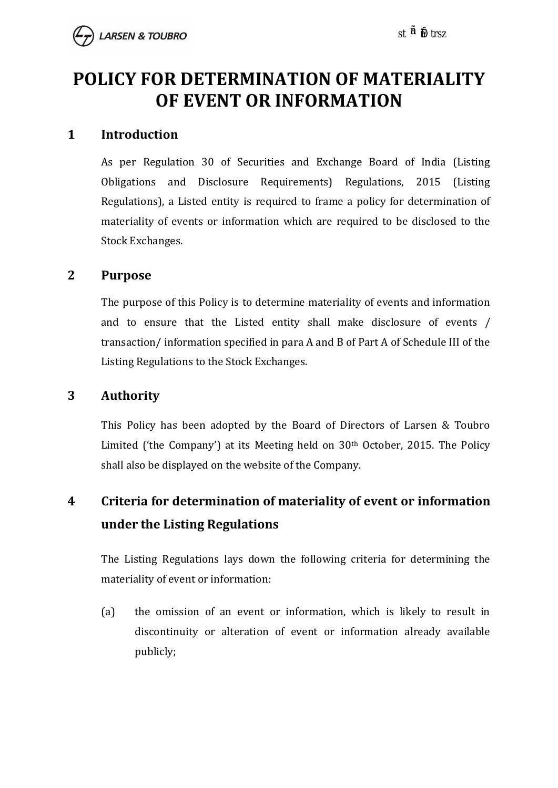# **POLICY FOR DETERMINATION OF MATERIALITY OF EVENT OR INFORMATION**

#### **1 Introduction**

As per Regulation 30 of Securities and Exchange Board of India (Listing Obligations and Disclosure Requirements) Regulations, 2015 (Listing Regulations), a Listed entity is required to frame a policy for determination of materiality of events or information which are required to be disclosed to the Stock Exchanges.

#### **2 Purpose**

The purpose of this Policy is to determine materiality of events and information and to ensure that the Listed entity shall make disclosure of events / transaction/ information specified in para A and B of Part A of Schedule III of the Listing Regulations to the Stock Exchanges.

#### **3 Authority**

This Policy has been adopted by the Board of Directors of Larsen & Toubro Limited ('the Company') at its Meeting held on 30<sup>th</sup> October, 2015. The Policy shall also be displayed on the website of the Company.

### **4 Criteria for determination of materiality of event or information under the Listing Regulations**

The Listing Regulations lays down the following criteria for determining the materiality of event or information:

(a) the omission of an event or information, which is likely to result in discontinuity or alteration of event or information already available publicly;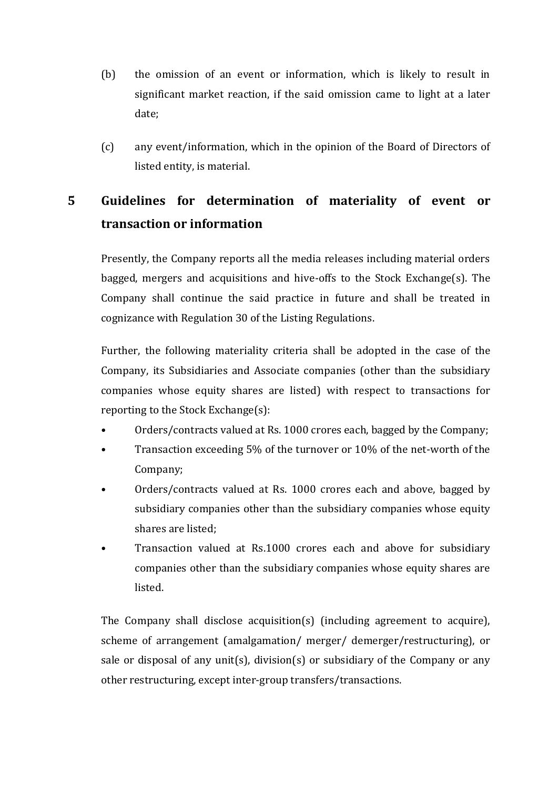- (b) the omission of an event or information, which is likely to result in significant market reaction, if the said omission came to light at a later date;
- (c) any event/information, which in the opinion of the Board of Directors of listed entity, is material.

### **5 Guidelines for determination of materiality of event or transaction or information**

Presently, the Company reports all the media releases including material orders bagged, mergers and acquisitions and hive-offs to the Stock Exchange(s). The Company shall continue the said practice in future and shall be treated in cognizance with Regulation 30 of the Listing Regulations.

Further, the following materiality criteria shall be adopted in the case of the Company, its Subsidiaries and Associate companies (other than the subsidiary companies whose equity shares are listed) with respect to transactions for reporting to the Stock Exchange(s):

- Orders/contracts valued at Rs. 1000 crores each, bagged by the Company;
- Transaction exceeding 5% of the turnover or 10% of the net-worth of the Company;
- Orders/contracts valued at Rs. 1000 crores each and above, bagged by subsidiary companies other than the subsidiary companies whose equity shares are listed;
- Transaction valued at Rs.1000 crores each and above for subsidiary companies other than the subsidiary companies whose equity shares are listed.

The Company shall disclose acquisition(s) (including agreement to acquire), scheme of arrangement (amalgamation/ merger/ demerger/restructuring), or sale or disposal of any unit(s), division(s) or subsidiary of the Company or any other restructuring, except inter-group transfers/transactions.